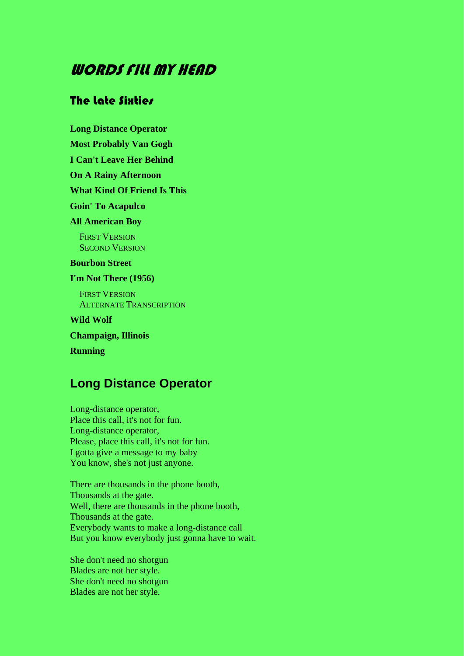# <span id="page-0-1"></span>WORDS FILL MY HEAD

### The Late Sixties

**[Long Distance Operator](#page-0-0) [Most Probably Van Gogh](#page-1-0) [I Can't Leave Her Behind](#page-2-0) [On A Rainy Afternoon](#page-3-0) [What Kind Of Friend Is This](#page-3-1) [Goin' To Acapulco](#page-4-0) [All American Boy](#page-5-0)** FIRST V[ERSION](#page-5-1) S[ECOND](#page-6-0) VERSION **[Bourbon Street](#page-8-0) [I'm Not There \(1956\)](#page-9-0)** FIRST V[ERSION](#page-9-1) ALTERNATE T[RANSCRIPTION](#page-11-0) **[Wild Wolf](#page-12-0) [Champaign, Illinois](#page-12-1) [Running](#page-13-0)**

### <span id="page-0-0"></span>**Long Distance Operator**

Long-distance operator, Place this call, it's not for fun. Long-distance operator, Please, place this call, it's not for fun. I gotta give a message to my baby You know, she's not just anyone.

There are thousands in the phone booth, Thousands at the gate. Well, there are thousands in the phone booth, Thousands at the gate. Everybody wants to make a long-distance call But you know everybody just gonna have to wait.

She don't need no shotgun Blades are not her style. She don't need no shotgun Blades are not her style.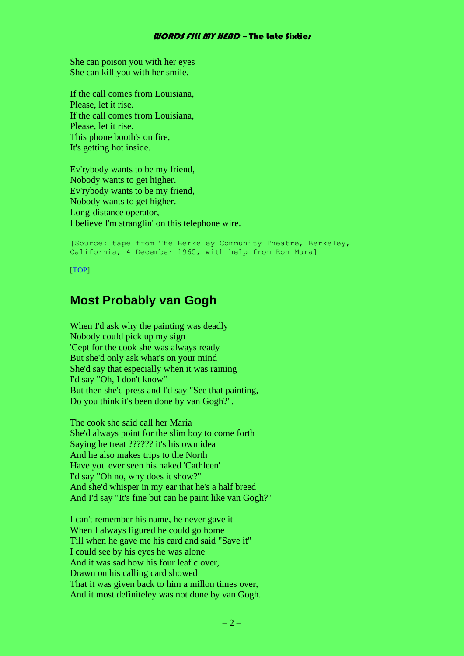She can poison you with her eyes She can kill you with her smile.

If the call comes from Louisiana, Please, let it rise. If the call comes from Louisiana, Please, let it rise. This phone booth's on fire, It's getting hot inside.

Ev'rybody wants to be my friend, Nobody wants to get higher. Ev'rybody wants to be my friend, Nobody wants to get higher. Long-distance operator, I believe I'm stranglin' on this telephone wire.

[Source: tape from The Berkeley Community Theatre, Berkeley, California, 4 December 1965, with help from Ron Mura]

[\[TOP\]](#page-0-1)

### <span id="page-1-0"></span>**Most Probably van Gogh**

When I'd ask why the painting was deadly Nobody could pick up my sign 'Cept for the cook she was always ready But she'd only ask what's on your mind She'd say that especially when it was raining I'd say "Oh, I don't know" But then she'd press and I'd say "See that painting, Do you think it's been done by van Gogh?".

The cook she said call her Maria She'd always point for the slim boy to come forth Saying he treat ?????? it's his own idea And he also makes trips to the North Have you ever seen his naked 'Cathleen' I'd say "Oh no, why does it show?" And she'd whisper in my ear that he's a half breed And I'd say "It's fine but can he paint like van Gogh?"

I can't remember his name, he never gave it When I always figured he could go home Till when he gave me his card and said "Save it" I could see by his eyes he was alone And it was sad how his four leaf clover, Drawn on his calling card showed That it was given back to him a millon times over, And it most definiteley was not done by van Gogh.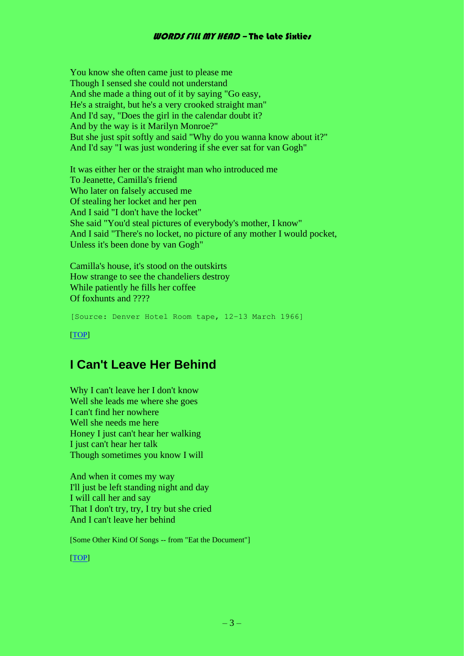You know she often came just to please me Though I sensed she could not understand And she made a thing out of it by saying "Go easy, He's a straight, but he's a very crooked straight man" And I'd say, "Does the girl in the calendar doubt it? And by the way is it Marilyn Monroe?" But she just spit softly and said "Why do you wanna know about it?" And I'd say "I was just wondering if she ever sat for van Gogh"

It was either her or the straight man who introduced me To Jeanette, Camilla's friend Who later on falsely accused me Of stealing her locket and her pen And I said "I don't have the locket" She said "You'd steal pictures of everybody's mother, I know" And I said "There's no locket, no picture of any mother I would pocket, Unless it's been done by van Gogh"

Camilla's house, it's stood on the outskirts How strange to see the chandeliers destroy While patiently he fills her coffee Of foxhunts and ????

[Source: Denver Hotel Room tape, 12–13 March 1966]

[\[TOP\]](#page-0-1)

## <span id="page-2-0"></span>**I Can't Leave Her Behind**

Why I can't leave her I don't know Well she leads me where she goes I can't find her nowhere Well she needs me here Honey I just can't hear her walking I just can't hear her talk Though sometimes you know I will

And when it comes my way I'll just be left standing night and day I will call her and say That I don't try, try, I try but she cried And I can't leave her behind

[Some Other Kind Of Songs -- from "Eat the Document"]

[\[TOP\]](#page-0-1)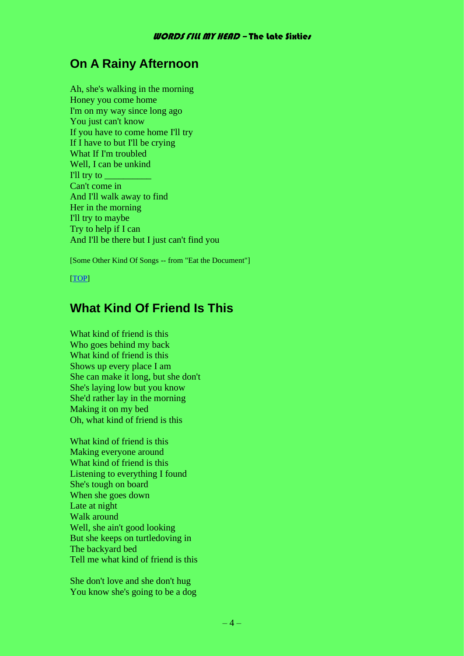## <span id="page-3-0"></span>**On A Rainy Afternoon**

Ah, she's walking in the morning Honey you come home I'm on my way since long ago You just can't know If you have to come home I'll try If I have to but I'll be crying What If I'm troubled Well, I can be unkind I'll try to  $\Box$ Can't come in And I'll walk away to find Her in the morning I'll try to maybe Try to help if I can And I'll be there but I just can't find you

[Some Other Kind Of Songs -- from "Eat the Document"]

[\[TOP\]](#page-0-1)

## <span id="page-3-1"></span>**What Kind Of Friend Is This**

What kind of friend is this Who goes behind my back What kind of friend is this Shows up every place I am She can make it long, but she don't She's laying low but you know She'd rather lay in the morning Making it on my bed Oh, what kind of friend is this

What kind of friend is this Making everyone around What kind of friend is this Listening to everything I found She's tough on board When she goes down Late at night Walk around Well, she ain't good looking But she keeps on turtledoving in The backyard bed Tell me what kind of friend is this

She don't love and she don't hug You know she's going to be a dog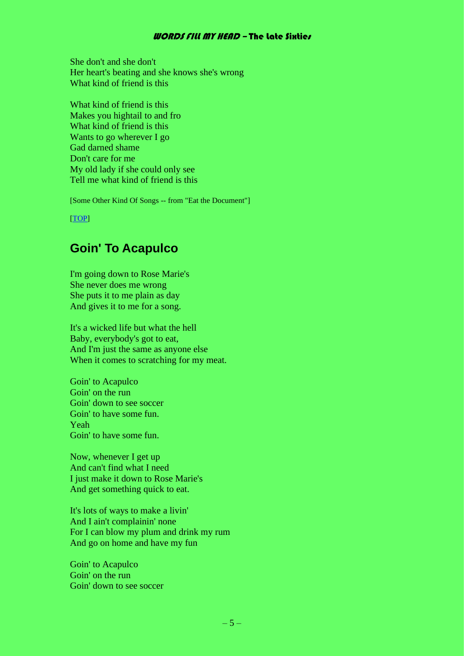She don't and she don't Her heart's beating and she knows she's wrong What kind of friend is this

What kind of friend is this Makes you hightail to and fro What kind of friend is this Wants to go wherever I go Gad darned shame Don't care for me My old lady if she could only see Tell me what kind of friend is this

[Some Other Kind Of Songs -- from "Eat the Document"]

[\[TOP\]](#page-0-1)

## <span id="page-4-0"></span>**Goin' To Acapulco**

I'm going down to Rose Marie's She never does me wrong She puts it to me plain as day And gives it to me for a song.

It's a wicked life but what the hell Baby, everybody's got to eat, And I'm just the same as anyone else When it comes to scratching for my meat.

Goin' to Acapulco Goin' on the run Goin' down to see soccer Goin' to have some fun. Yeah Goin' to have some fun.

Now, whenever I get up And can't find what I need I just make it down to Rose Marie's And get something quick to eat.

It's lots of ways to make a livin' And I ain't complainin' none For I can blow my plum and drink my rum And go on home and have my fun

Goin' to Acapulco Goin' on the run Goin' down to see soccer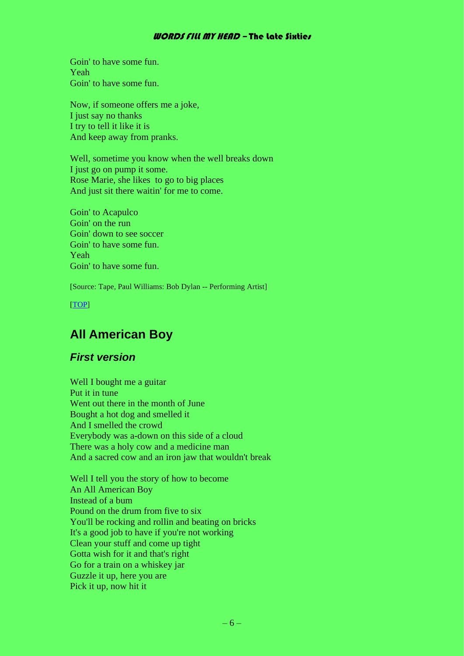Goin' to have some fun. Yeah Goin' to have some fun.

Now, if someone offers me a joke, I just say no thanks I try to tell it like it is And keep away from pranks.

Well, sometime you know when the well breaks down I just go on pump it some. Rose Marie, she likes to go to big places And just sit there waitin' for me to come.

Goin' to Acapulco Goin' on the run Goin' down to see soccer Goin' to have some fun. Yeah Goin' to have some fun.

[Source: Tape, Paul Williams: Bob Dylan -- Performing Artist]

[\[TOP\]](#page-0-1)

## <span id="page-5-0"></span>**All American Boy**

### <span id="page-5-1"></span>*First version*

Well I bought me a guitar Put it in tune Went out there in the month of June Bought a hot dog and smelled it And I smelled the crowd Everybody was a-down on this side of a cloud There was a holy cow and a medicine man And a sacred cow and an iron jaw that wouldn't break

Well I tell you the story of how to become An All American Boy Instead of a bum Pound on the drum from five to six You'll be rocking and rollin and beating on bricks It's a good job to have if you're not working Clean your stuff and come up tight Gotta wish for it and that's right Go for a train on a whiskey jar Guzzle it up, here you are Pick it up, now hit it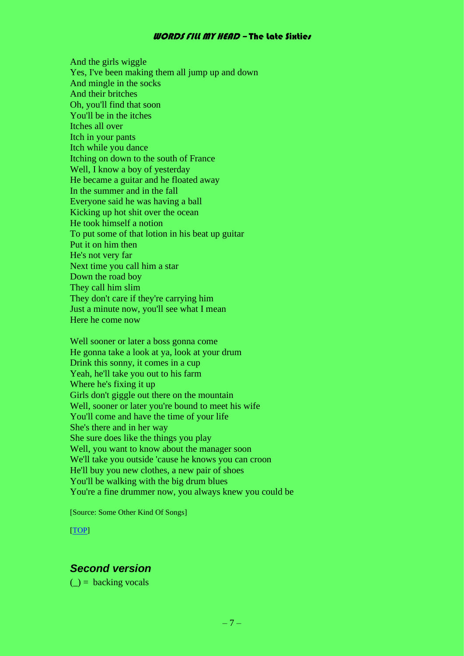And the girls wiggle Yes, I've been making them all jump up and down And mingle in the socks And their britches Oh, you'll find that soon You'll be in the itches Itches all over Itch in your pants Itch while you dance Itching on down to the south of France Well, I know a boy of yesterday He became a guitar and he floated away In the summer and in the fall Everyone said he was having a ball Kicking up hot shit over the ocean He took himself a notion To put some of that lotion in his beat up guitar Put it on him then He's not very far Next time you call him a star Down the road boy They call him slim They don't care if they're carrying him Just a minute now, you'll see what I mean Here he come now

Well sooner or later a boss gonna come He gonna take a look at ya, look at your drum Drink this sonny, it comes in a cup Yeah, he'll take you out to his farm Where he's fixing it up Girls don't giggle out there on the mountain Well, sooner or later you're bound to meet his wife You'll come and have the time of your life She's there and in her way She sure does like the things you play Well, you want to know about the manager soon We'll take you outside 'cause he knows you can croon He'll buy you new clothes, a new pair of shoes You'll be walking with the big drum blues You're a fine drummer now, you always knew you could be

[Source: Some Other Kind Of Songs]

[\[TOP\]](#page-0-1)

### <span id="page-6-0"></span>*Second version*

 $() =$  backing vocals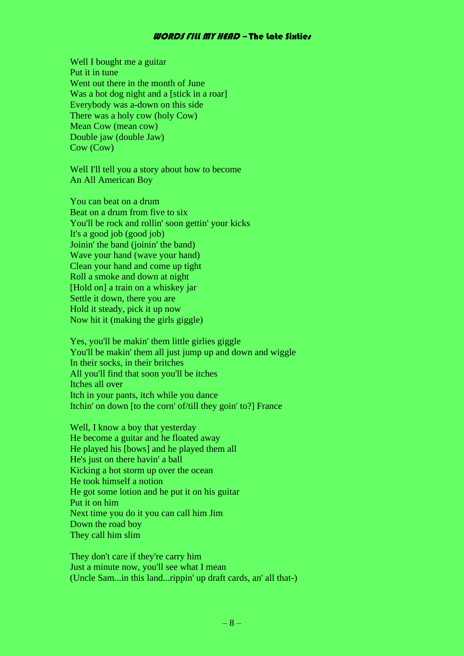Well I bought me a guitar Put it in tune Went out there in the month of June Was a hot dog night and a [stick in a roar] Everybody was a-down on this side There was a holy cow (holy Cow) Mean Cow (mean cow) Double jaw (double Jaw) Cow (Cow)

Well I'll tell you a story about how to become An All American Boy

You can beat on a drum Beat on a drum from five to six You'll be rock and rollin' soon gettin' your kicks It's a good job (good job) Joinin' the band (joinin' the band) Wave your hand (wave your hand) Clean your hand and come up tight Roll a smoke and down at night [Hold on] a train on a whiskey jar Settle it down, there you are Hold it steady, pick it up now Now hit it (making the girls giggle)

Yes, you'll be makin' them little girlies giggle You'll be makin' them all just jump up and down and wiggle In their socks, in their britches All you'll find that soon you'll be itches Itches all over Itch in your pants, itch while you dance Itchin' on down [to the corn' of/till they goin' to?] France

Well, I know a boy that yesterday He become a guitar and he floated away He played his [bows] and he played them all He's just on there havin' a ball Kicking a hot storm up over the ocean He took himself a notion He got some lotion and he put it on his guitar Put it on him Next time you do it you can call him Jim Down the road boy They call him slim

They don't care if they're carry him Just a minute now, you'll see what I mean (Uncle Sam...in this land...rippin' up draft cards, an' all that-)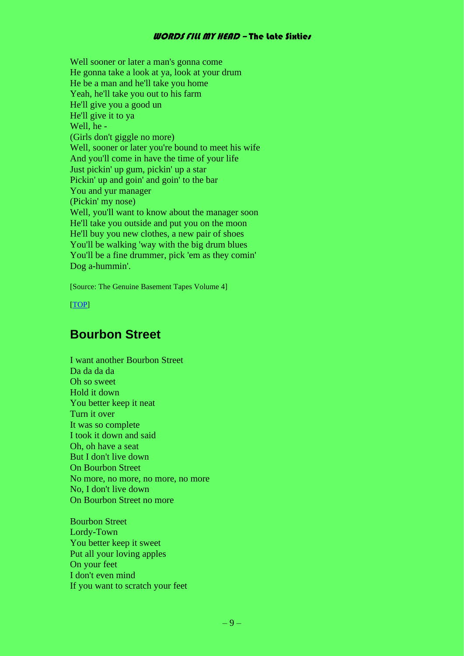Well sooner or later a man's gonna come He gonna take a look at ya, look at your drum He be a man and he'll take you home Yeah, he'll take you out to his farm He'll give you a good un He'll give it to ya Well, he - (Girls don't giggle no more) Well, sooner or later you're bound to meet his wife And you'll come in have the time of your life Just pickin' up gum, pickin' up a star Pickin' up and goin' and goin' to the bar You and yur manager (Pickin' my nose) Well, you'll want to know about the manager soon He'll take you outside and put you on the moon He'll buy you new clothes, a new pair of shoes You'll be walking 'way with the big drum blues You'll be a fine drummer, pick 'em as they comin' Dog a-hummin'.

[Source: The Genuine Basement Tapes Volume 4]

[\[TOP\]](#page-0-1)

### <span id="page-8-0"></span>**Bourbon Street**

I want another Bourbon Street Da da da da Oh so sweet Hold it down You better keep it neat Turn it over It was so complete I took it down and said Oh, oh have a seat But I don't live down On Bourbon Street No more, no more, no more, no more No, I don't live down On Bourbon Street no more

Bourbon Street Lordy-Town You better keep it sweet Put all your loving apples On your feet I don't even mind If you want to scratch your feet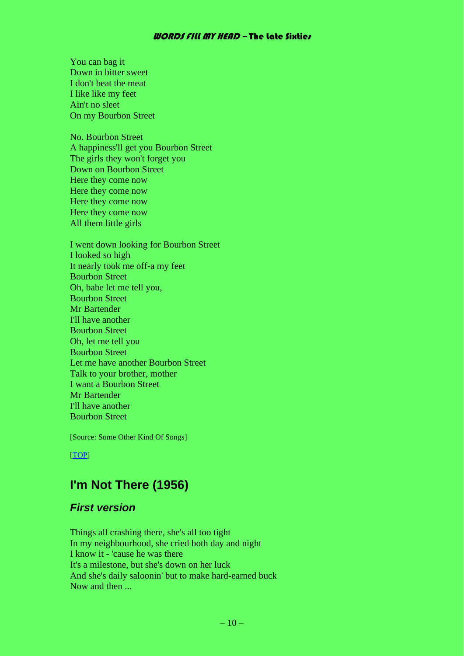You can bag it Down in bitter sweet I don't beat the meat I like like my feet Ain't no sleet On my Bourbon Street

No. Bourbon Street A happiness'll get you Bourbon Street The girls they won't forget you Down on Bourbon Street Here they come now Here they come now Here they come now Here they come now All them little girls

I went down looking for Bourbon Street I looked so high It nearly took me off-a my feet Bourbon Street Oh, babe let me tell you, Bourbon Street Mr Bartender I'll have another Bourbon Street Oh, let me tell you Bourbon Street Let me have another Bourbon Street Talk to your brother, mother I want a Bourbon Street Mr Bartender I'll have another Bourbon Street

[Source: Some Other Kind Of Songs]

[\[TOP\]](#page-0-1)

## <span id="page-9-0"></span>**I'm Not There (1956)**

### <span id="page-9-1"></span>*First version*

Things all crashing there, she's all too tight In my neighbourhood, she cried both day and night I know it - 'cause he was there It's a milestone, but she's down on her luck And she's daily saloonin' but to make hard-earned buck Now and then ...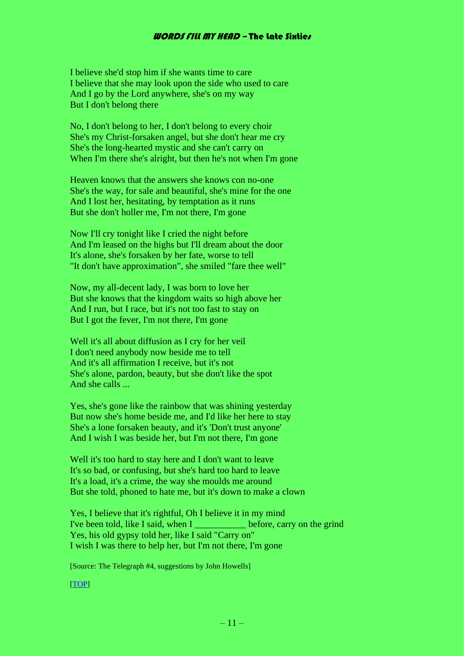I believe she'd stop him if she wants time to care I believe that she may look upon the side who used to care And I go by the Lord anywhere, she's on my way But I don't belong there

No, I don't belong to her, I don't belong to every choir She's my Christ-forsaken angel, but she don't hear me cry She's the long-hearted mystic and she can't carry on When I'm there she's alright, but then he's not when I'm gone

Heaven knows that the answers she knows con no-one She's the way, for sale and beautiful, she's mine for the one And I lost her, hesitating, by temptation as it runs But she don't holler me, I'm not there, I'm gone

Now I'll cry tonight like I cried the night before And I'm leased on the highs but I'll dream about the door It's alone, she's forsaken by her fate, worse to tell "It don't have approximation", she smiled "fare thee well"

Now, my all-decent lady, I was born to love her But she knows that the kingdom waits so high above her And I run, but I race, but it's not too fast to stay on But I got the fever, I'm not there, I'm gone

Well it's all about diffusion as I cry for her veil I don't need anybody now beside me to tell And it's all affirmation I receive, but it's not She's alone, pardon, beauty, but she don't like the spot And she calls ...

Yes, she's gone like the rainbow that was shining yesterday But now she's home beside me, and I'd like her here to stay She's a lone forsaken beauty, and it's 'Don't trust anyone' And I wish I was beside her, but I'm not there, I'm gone

Well it's too hard to stay here and I don't want to leave It's so bad, or confusing, but she's hard too hard to leave It's a load, it's a crime, the way she moulds me around But she told, phoned to hate me, but it's down to make a clown

Yes, I believe that it's rightful, Oh I believe it in my mind I've been told, like I said, when I before, carry on the grind Yes, his old gypsy told her, like I said "Carry on" I wish I was there to help her, but I'm not there, I'm gone

[Source: The Telegraph #4, suggestions by John Howells]

[\[TOP\]](#page-0-1)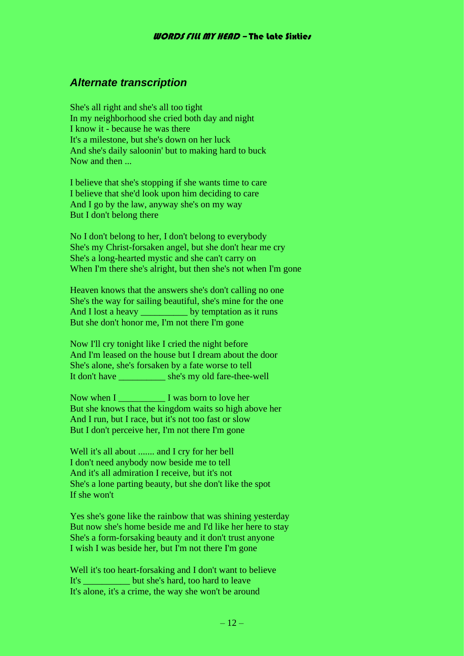### <span id="page-11-0"></span>*Alternate transcription*

She's all right and she's all too tight In my neighborhood she cried both day and night I know it - because he was there It's a milestone, but she's down on her luck And she's daily saloonin' but to making hard to buck Now and then ...

I believe that she's stopping if she wants time to care I believe that she'd look upon him deciding to care And I go by the law, anyway she's on my way But I don't belong there

No I don't belong to her, I don't belong to everybody She's my Christ-forsaken angel, but she don't hear me cry She's a long-hearted mystic and she can't carry on When I'm there she's alright, but then she's not when I'm gone

Heaven knows that the answers she's don't calling no one She's the way for sailing beautiful, she's mine for the one And I lost a heavy by temptation as it runs But she don't honor me, I'm not there I'm gone

Now I'll cry tonight like I cried the night before And I'm leased on the house but I dream about the door She's alone, she's forsaken by a fate worse to tell It don't have \_\_\_\_\_\_\_\_\_\_ she's my old fare-thee-well

Now when I was born to love her But she knows that the kingdom waits so high above her And I run, but I race, but it's not too fast or slow But I don't perceive her, I'm not there I'm gone

Well it's all about ....... and I cry for her bell I don't need anybody now beside me to tell And it's all admiration I receive, but it's not She's a lone parting beauty, but she don't like the spot If she won't

Yes she's gone like the rainbow that was shining yesterday But now she's home beside me and I'd like her here to stay She's a form-forsaking beauty and it don't trust anyone I wish I was beside her, but I'm not there I'm gone

Well it's too heart-forsaking and I don't want to believe It's \_\_\_\_\_\_\_\_\_\_ but she's hard, too hard to leave It's alone, it's a crime, the way she won't be around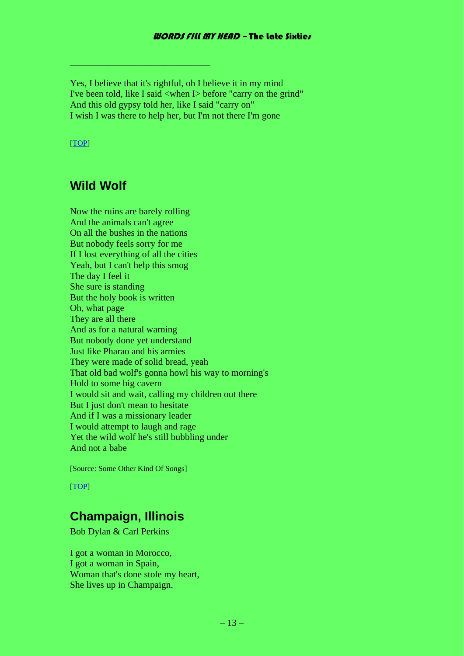Yes, I believe that it's rightful, oh I believe it in my mind I've been told, like I said <when I> before "carry on the grind" And this old gypsy told her, like I said "carry on" I wish I was there to help her, but I'm not there I'm gone

\_\_\_\_\_\_\_\_\_\_\_\_\_\_\_\_\_\_\_\_\_\_\_\_\_\_\_\_\_\_

[\[TOP\]](#page-0-1)

### <span id="page-12-0"></span>**Wild Wolf**

Now the ruins are barely rolling And the animals can't agree On all the bushes in the nations But nobody feels sorry for me If I lost everything of all the cities Yeah, but I can't help this smog The day I feel it She sure is standing But the holy book is written Oh, what page They are all there And as for a natural warning But nobody done yet understand Just like Pharao and his armies They were made of solid bread, yeah That old bad wolf's gonna howl his way to morning's Hold to some big cavern I would sit and wait, calling my children out there But I just don't mean to hesitate And if I was a missionary leader I would attempt to laugh and rage Yet the wild wolf he's still bubbling under And not a babe

[Source: Some Other Kind Of Songs]

#### [\[TOP\]](#page-0-1)

## <span id="page-12-1"></span>**Champaign, Illinois**

Bob Dylan & Carl Perkins

I got a woman in Morocco, I got a woman in Spain, Woman that's done stole my heart, She lives up in Champaign.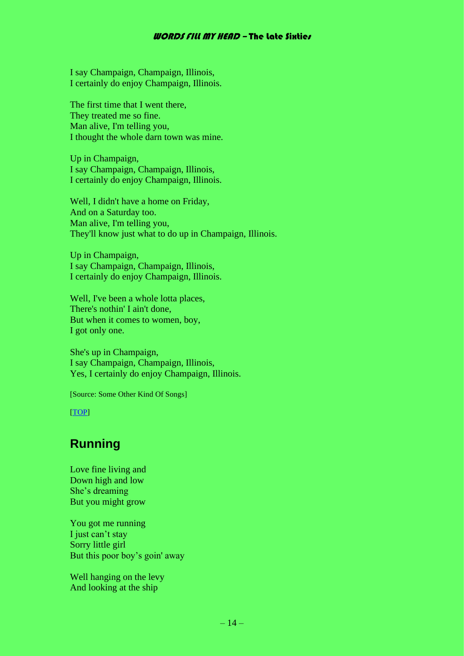I say Champaign, Champaign, Illinois, I certainly do enjoy Champaign, Illinois.

The first time that I went there, They treated me so fine. Man alive, I'm telling you, I thought the whole darn town was mine.

Up in Champaign, I say Champaign, Champaign, Illinois, I certainly do enjoy Champaign, Illinois.

Well, I didn't have a home on Friday, And on a Saturday too. Man alive, I'm telling you, They'll know just what to do up in Champaign, Illinois.

Up in Champaign, I say Champaign, Champaign, Illinois, I certainly do enjoy Champaign, Illinois.

Well, I've been a whole lotta places, There's nothin' I ain't done, But when it comes to women, boy, I got only one.

She's up in Champaign, I say Champaign, Champaign, Illinois, Yes, I certainly do enjoy Champaign, Illinois.

[Source: Some Other Kind Of Songs]

[\[TOP\]](#page-0-1)

## <span id="page-13-0"></span>**Running**

Love fine living and Down high and low She's dreaming But you might grow

You got me running I just can't stay Sorry little girl But this poor boy's goin' away

Well hanging on the levy And looking at the ship